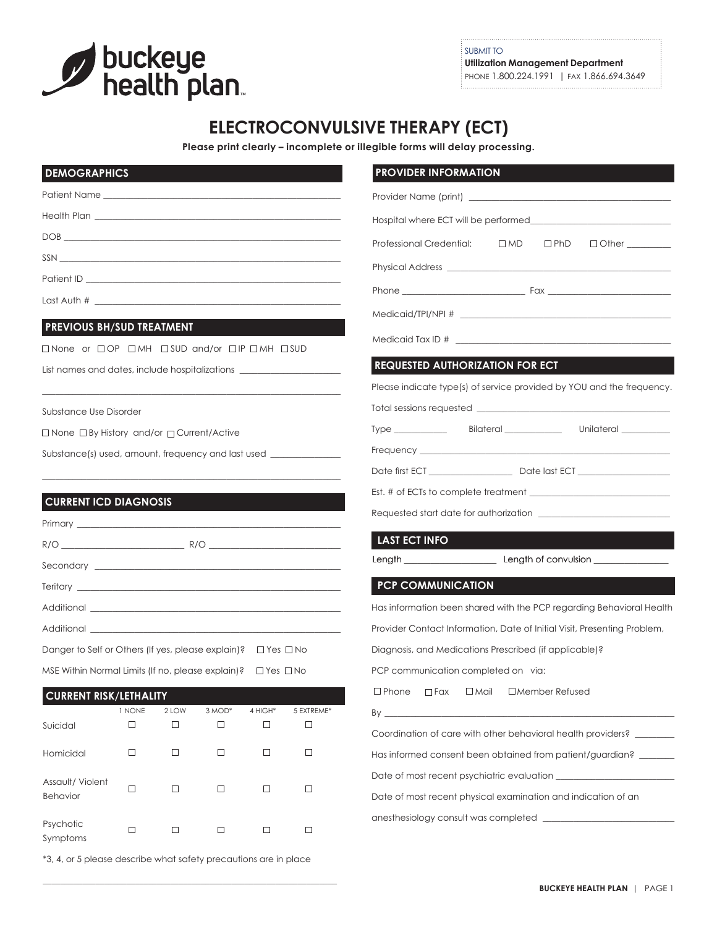

\*3, 4, or 5 please describe what safety precautions are in place

\_\_\_\_\_\_\_\_\_\_\_\_\_\_\_\_\_\_\_\_\_\_\_\_\_\_\_\_\_\_\_\_\_\_\_\_\_\_\_\_\_\_\_\_\_\_\_\_\_\_\_\_\_\_\_\_\_\_\_\_\_\_\_\_\_\_\_

SUBMIT TO **Utilization Management Department** PHONE 1.800.224.1991 | FAX 1.866.694.3649

# **ELECTROCONVULSIVE THERAPY (ECT)**

**Please print clearly – incomplete or illegible forms will delay processing.**

| <b>DEMOGRAPHICS</b>                                                                                                                     |        |        |                                                                                          |         |            | <b>PROVIDER INFORMATION</b>                                                                                                                                                                                                    |  |  |
|-----------------------------------------------------------------------------------------------------------------------------------------|--------|--------|------------------------------------------------------------------------------------------|---------|------------|--------------------------------------------------------------------------------------------------------------------------------------------------------------------------------------------------------------------------------|--|--|
|                                                                                                                                         |        |        |                                                                                          |         |            |                                                                                                                                                                                                                                |  |  |
|                                                                                                                                         |        |        |                                                                                          |         |            |                                                                                                                                                                                                                                |  |  |
|                                                                                                                                         |        |        |                                                                                          |         |            | Professional Credential: □ MD<br>$\square$ PhD<br>$\Box$ Other $\_\_$                                                                                                                                                          |  |  |
|                                                                                                                                         |        |        |                                                                                          |         |            |                                                                                                                                                                                                                                |  |  |
|                                                                                                                                         |        |        |                                                                                          |         |            |                                                                                                                                                                                                                                |  |  |
|                                                                                                                                         |        |        |                                                                                          |         |            |                                                                                                                                                                                                                                |  |  |
| <b>PREVIOUS BH/SUD TREATMENT</b>                                                                                                        |        |        | $\mathcal{L}(\mathcal{L})$ and $\mathcal{L}(\mathcal{L})$ and $\mathcal{L}(\mathcal{L})$ |         |            |                                                                                                                                                                                                                                |  |  |
| □None or □OP □MH □SUD and/or □IP □MH □SUD                                                                                               |        |        |                                                                                          |         |            |                                                                                                                                                                                                                                |  |  |
| List names and dates, include hospitalizations _________________________________                                                        |        |        |                                                                                          |         |            | <b>REQUESTED AUTHORIZATION FOR ECT</b>                                                                                                                                                                                         |  |  |
|                                                                                                                                         |        |        |                                                                                          |         |            | Please indicate type(s) of service provided by YOU and the frequency.                                                                                                                                                          |  |  |
| Substance Use Disorder                                                                                                                  |        |        |                                                                                          |         |            |                                                                                                                                                                                                                                |  |  |
| □ None □ By History and/or □ Current/Active                                                                                             |        |        |                                                                                          |         |            | Type Bilateral Bilateral Unilateral                                                                                                                                                                                            |  |  |
| Substance(s) used, amount, frequency and last used _____________________________                                                        |        |        |                                                                                          |         |            | Frequency Learning and the contract of the contract of the contract of the contract of the contract of the contract of the contract of the contract of the contract of the contract of the contract of the contract of the con |  |  |
|                                                                                                                                         |        |        |                                                                                          |         |            |                                                                                                                                                                                                                                |  |  |
|                                                                                                                                         |        |        |                                                                                          |         |            |                                                                                                                                                                                                                                |  |  |
| <b>CURRENT ICD DIAGNOSIS</b>                                                                                                            |        |        |                                                                                          |         |            |                                                                                                                                                                                                                                |  |  |
|                                                                                                                                         |        |        |                                                                                          |         |            | <b>LAST ECT INFO</b>                                                                                                                                                                                                           |  |  |
|                                                                                                                                         |        |        |                                                                                          |         |            |                                                                                                                                                                                                                                |  |  |
|                                                                                                                                         |        |        |                                                                                          |         |            | <b>PCP COMMUNICATION</b>                                                                                                                                                                                                       |  |  |
|                                                                                                                                         |        |        |                                                                                          |         |            | Has information been shared with the PCP regarding Behavioral Health                                                                                                                                                           |  |  |
|                                                                                                                                         |        |        |                                                                                          |         |            | Provider Contact Information, Date of Initial Visit, Presenting Problem,                                                                                                                                                       |  |  |
|                                                                                                                                         |        |        |                                                                                          |         |            | Diagnosis, and Medications Prescribed (if applicable)?                                                                                                                                                                         |  |  |
| Danger to Self or Others (If yes, please explain)? □ Yes □ No<br>MSE Within Normal Limits (If no, please explain)? $\Box$ Yes $\Box$ No |        |        |                                                                                          |         |            | PCP communication completed on via:                                                                                                                                                                                            |  |  |
|                                                                                                                                         |        |        |                                                                                          |         |            | $\square$ Phone<br>$\square$ Mail<br>$\square$ Member Refused<br>$\Box$ Fax                                                                                                                                                    |  |  |
| <b>CURRENT RISK/LETHALITY</b>                                                                                                           | 1 NONE | 2 LOW  | 3 MOD*                                                                                   | 4 HIGH* | 5 EXTREME* | By _                                                                                                                                                                                                                           |  |  |
| Suicidal                                                                                                                                | $\Box$ | $\Box$ | $\Box$                                                                                   | $\Box$  | $\Box$     | Coordination of care with other behavioral health providers?                                                                                                                                                                   |  |  |
| Homicidal                                                                                                                               | □      | □      | $\Box$                                                                                   | □       | $\Box$     | Has informed consent been obtained from patient/guardian? _______                                                                                                                                                              |  |  |
|                                                                                                                                         |        |        |                                                                                          |         |            |                                                                                                                                                                                                                                |  |  |
| Assault/Violent<br><b>Behavior</b>                                                                                                      | $\Box$ | $\Box$ | $\Box$                                                                                   | $\Box$  | $\Box$     | Date of most recent physical examination and indication of an                                                                                                                                                                  |  |  |
|                                                                                                                                         |        |        |                                                                                          |         |            | anesthesiology consult was completed                                                                                                                                                                                           |  |  |
| Psychotic<br>Symptoms                                                                                                                   | $\Box$ | $\Box$ | $\Box$                                                                                   | $\Box$  | $\Box$     |                                                                                                                                                                                                                                |  |  |